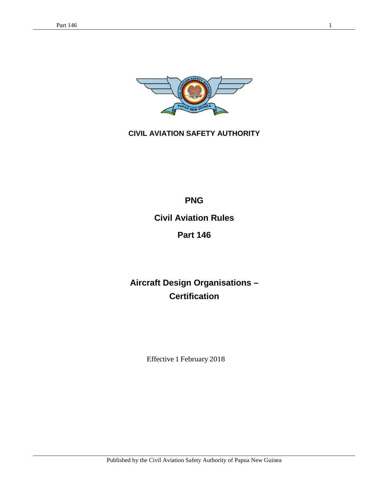

**CIVIL AVIATION SAFETY AUTHORITY**

**PNG**

**Civil Aviation Rules**

**Part 146**

**Aircraft Design Organisations – Certification**

Effective 1 February 2018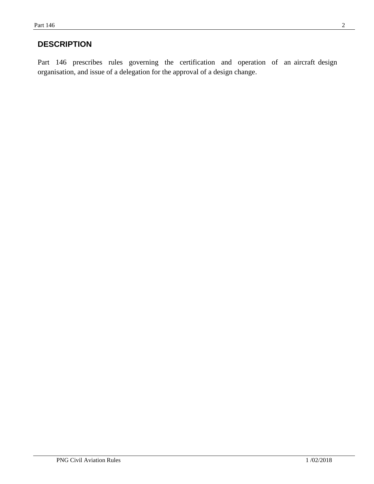### **DESCRIPTION**

Part 146 prescribes rules governing the certification and operation of an aircraft design organisation, and issue of a delegation for the approval of a design change.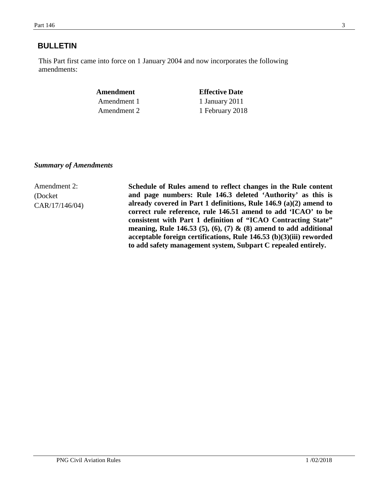### **BULLETIN**

This Part first came into force on 1 January 2004 and now incorporates the following amendments:

| Amendment   |  |
|-------------|--|
| Amendment 1 |  |
| Amendment 2 |  |

**Effective** Date 1 January 2011 2 1 February 2018

#### *Summary of Amendments*

Amendment 2: (Docket CAR/17/146/04)

**Schedule of Rules amend to reflect changes in the Rule content and page numbers: Rule 146.3 deleted 'Authority' as this is already covered in Part 1 definitions, Rule 146.9 (a)(2) amend to correct rule reference, rule 146.51 amend to add 'ICAO' to be consistent with Part 1 definition of "ICAO Contracting State" meaning, Rule 146.53 (5), (6), (7) & (8) amend to add additional acceptable foreign certifications, Rule 146.53 (b)(3)(iii) reworded to add safety management system, Subpart C repealed entirely.**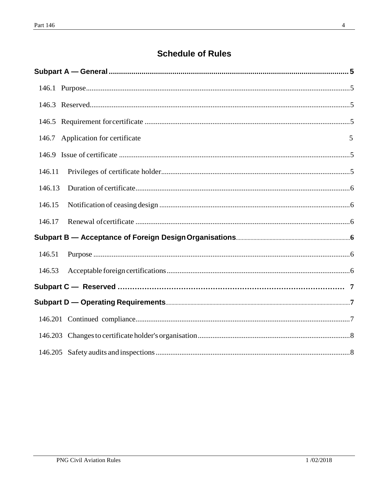# **Schedule of Rules**

|        | 146.7 Application for certificate | 5 |
|--------|-----------------------------------|---|
|        |                                   |   |
| 146.11 |                                   |   |
| 146.13 |                                   |   |
| 146.15 |                                   |   |
| 146.17 |                                   |   |
|        |                                   |   |
| 146.51 |                                   |   |
| 146.53 |                                   |   |
|        |                                   |   |
|        |                                   |   |
|        |                                   |   |
|        |                                   |   |
|        |                                   |   |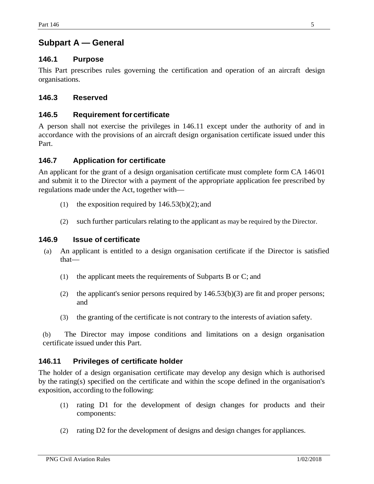## <span id="page-4-0"></span>**Subpart A — General**

### <span id="page-4-1"></span>**146.1 Purpose**

This Part prescribes rules governing the certification and operation of an aircraft design organisations.

### <span id="page-4-2"></span>**146.3 Reserved**

### <span id="page-4-3"></span>**146.5 Requirement forcertificate**

A person shall not exercise the privileges in 146.11 except under the authority of and in accordance with the provisions of an aircraft design organisation certificate issued under this Part.

### <span id="page-4-4"></span>**146.7 Application for certificate**

An applicant for the grant of a design organisation certificate must complete form CA 146/01 and submit it to the Director with a payment of the appropriate application fee prescribed by regulations made under the Act, together with—

- (1) the exposition required by  $146.53(b)(2)$ ; and
- (2) such further particulars relating to the applicant as may be required by the Director.

#### <span id="page-4-5"></span>**146.9 Issue of certificate**

- (a) An applicant is entitled to a design organisation certificate if the Director is satisfied that—
	- (1) the applicant meets the requirements of Subparts B or C; and
	- (2) the applicant's senior persons required by  $146.53(b)(3)$  are fit and proper persons; and
	- (3) the granting of the certificate is not contrary to the interests of aviation safety.

(b) The Director may impose conditions and limitations on a design organisation certificate issued under this Part.

### <span id="page-4-6"></span>**146.11 Privileges of certificate holder**

The holder of a design organisation certificate may develop any design which is authorised by the rating(s) specified on the certificate and within the scope defined in the organisation's exposition, according to the following:

- (1) rating D1 for the development of design changes for products and their components:
- <span id="page-4-7"></span>(2) rating D2 for the development of designs and design changes for appliances.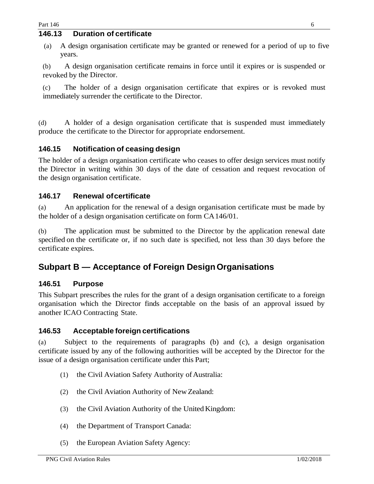#### **146.13 Duration of certificate**

(a) A design organisation certificate may be granted or renewed for a period of up to five years.

(b) A design organisation certificate remains in force until it expires or is suspended or revoked by the Director.

(c) The holder of a design organisation certificate that expires or is revoked must immediately surrender the certificate to the Director.

(d) A holder of a design organisation certificate that is suspended must immediately produce the certificate to the Director for appropriate endorsement.

#### <span id="page-5-0"></span>**146.15 Notification of ceasing design**

The holder of a design organisation certificate who ceases to offer design services must notify the Director in writing within 30 days of the date of cessation and request revocation of the design organisation certificate.

#### <span id="page-5-1"></span>**146.17 Renewal ofcertificate**

(a) An application for the renewal of a design organisation certificate must be made by the holder of a design organisation certificate on form CA146/01.

(b) The application must be submitted to the Director by the application renewal date specified on the certificate or, if no such date is specified, not less than 30 days before the certificate expires.

## <span id="page-5-2"></span>**Subpart B — Acceptance of Foreign DesignOrganisations**

#### <span id="page-5-3"></span>**146.51 Purpose**

This Subpart prescribes the rules for the grant of a design organisation certificate to a foreign organisation which the Director finds acceptable on the basis of an approval issued by another ICAO Contracting State.

#### <span id="page-5-4"></span>**146.53 Acceptable foreign certifications**

(a) Subject to the requirements of paragraphs (b) and (c), a design organisation certificate issued by any of the following authorities will be accepted by the Director for the issue of a design organisation certificate under this Part;

- (1) the Civil Aviation Safety Authority of Australia:
- (2) the Civil Aviation Authority of NewZealand:
- (3) the Civil Aviation Authority of the United Kingdom:
- (4) the Department of Transport Canada:
- (5) the European Aviation Safety Agency: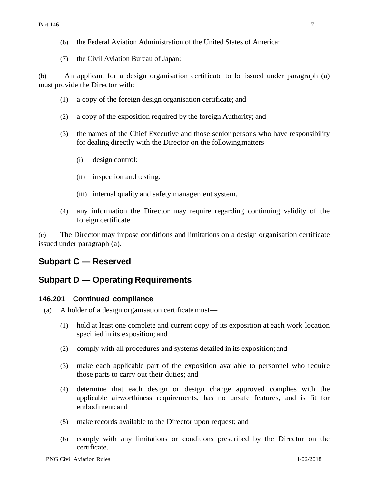(7) the Civil Aviation Bureau of Japan:

(b) An applicant for a design organisation certificate to be issued under paragraph (a) must provide the Director with:

- (1) a copy of the foreign design organisation certificate; and
- (2) a copy of the exposition required by the foreign Authority; and
- (3) the names of the Chief Executive and those senior persons who have responsibility for dealing directly with the Director on the followingmatters—
	- (i) design control:
	- (ii) inspection and testing:
	- (iii) internal quality and safety management system.
- (4) any information the Director may require regarding continuing validity of the foreign certificate.

(c) The Director may impose conditions and limitations on a design organisation certificate issued under paragraph (a).

## <span id="page-6-0"></span>**Subpart C — Reserved**

## **Subpart D — Operating Requirements**

#### <span id="page-6-1"></span>**146.201 Continued compliance**

- (a) A holder of a design organisation certificate must—
	- (1) hold at least one complete and current copy of its exposition at each work location specified in its exposition; and
	- (2) comply with all procedures and systems detailed in its exposition;and
	- (3) make each applicable part of the exposition available to personnel who require those parts to carry out their duties; and
	- (4) determine that each design or design change approved complies with the applicable airworthiness requirements, has no unsafe features, and is fit for embodiment;and
	- (5) make records available to the Director upon request; and
	- (6) comply with any limitations or conditions prescribed by the Director on the certificate.